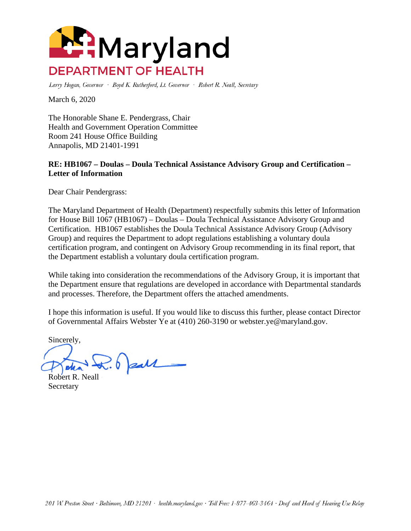

Larry Hogan, Governor · Boyd K. Rutherford, Lt. Governor · Robert R. Neall, Secretary

March 6, 2020

The Honorable Shane E. Pendergrass, Chair Health and Government Operation Committee Room 241 House Office Building Annapolis, MD 21401-1991

## **RE: HB1067 – Doulas – Doula Technical Assistance Advisory Group and Certification – Letter of Information**

Dear Chair Pendergrass:

The Maryland Department of Health (Department) respectfully submits this letter of Information for House Bill 1067 (HB1067) – Doulas – Doula Technical Assistance Advisory Group and Certification. HB1067 establishes the Doula Technical Assistance Advisory Group (Advisory Group) and requires the Department to adopt regulations establishing a voluntary doula certification program, and contingent on Advisory Group recommending in its final report, that the Department establish a voluntary doula certification program.

While taking into consideration the recommendations of the Advisory Group, it is important that the Department ensure that regulations are developed in accordance with Departmental standards and processes. Therefore, the Department offers the attached amendments.

I hope this information is useful. If you would like to discuss this further, please contact Director of Governmental Affairs Webster Ye at (410) 260-3190 or webster.ye@maryland.gov.

Sincerely,

 $\sqrt{2.6}$  pall

Robert R. Neall **Secretary**